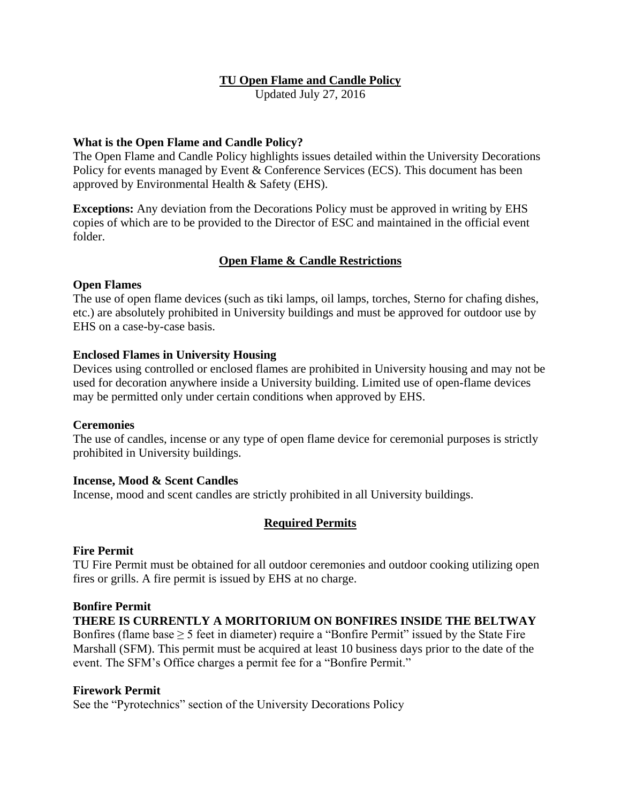# **TU Open Flame and Candle Policy**

Updated July 27, 2016

## **What is the Open Flame and Candle Policy?**

The Open Flame and Candle Policy highlights issues detailed within the University Decorations Policy for events managed by Event & Conference Services (ECS). This document has been approved by Environmental Health & Safety (EHS).

**Exceptions:** Any deviation from the Decorations Policy must be approved in writing by EHS copies of which are to be provided to the Director of ESC and maintained in the official event folder.

# **Open Flame & Candle Restrictions**

## **Open Flames**

The use of open flame devices (such as tiki lamps, oil lamps, torches, Sterno for chafing dishes, etc.) are absolutely prohibited in University buildings and must be approved for outdoor use by EHS on a case-by-case basis.

## **Enclosed Flames in University Housing**

Devices using controlled or enclosed flames are prohibited in University housing and may not be used for decoration anywhere inside a University building. Limited use of open-flame devices may be permitted only under certain conditions when approved by EHS.

## **Ceremonies**

The use of candles, incense or any type of open flame device for ceremonial purposes is strictly prohibited in University buildings.

## **Incense, Mood & Scent Candles**

Incense, mood and scent candles are strictly prohibited in all University buildings.

## **Required Permits**

## **Fire Permit**

TU Fire Permit must be obtained for all outdoor ceremonies and outdoor cooking utilizing open fires or grills. A fire permit is issued by EHS at no charge.

#### **Bonfire Permit**

**THERE IS CURRENTLY A MORITORIUM ON BONFIRES INSIDE THE BELTWAY**

Bonfires (flame base  $\geq$  5 feet in diameter) require a "Bonfire Permit" issued by the State Fire Marshall (SFM). This permit must be acquired at least 10 business days prior to the date of the event. The SFM's Office charges a permit fee for a "Bonfire Permit."

### **Firework Permit**

See the "Pyrotechnics" section of the University Decorations Policy